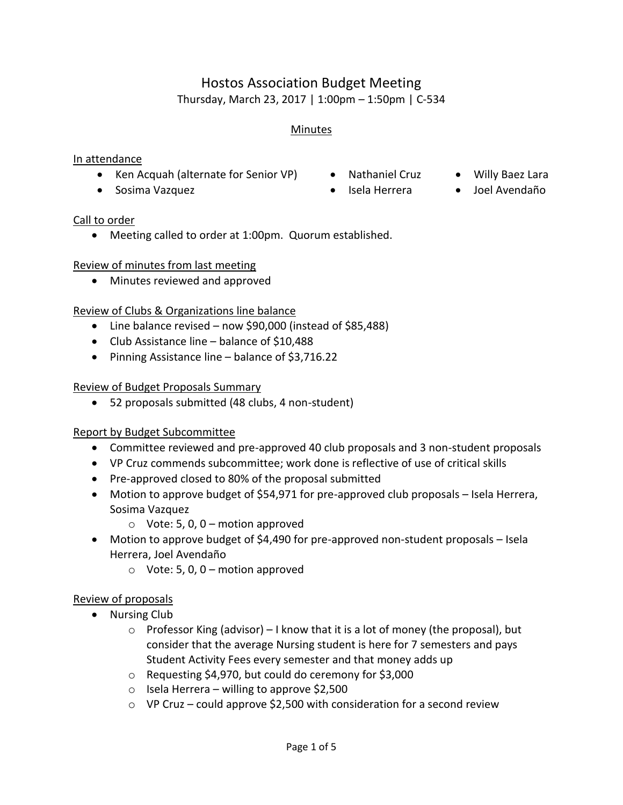# Hostos Association Budget Meeting Thursday, March 23, 2017 | 1:00pm – 1:50pm | C-534

#### Minutes

#### In attendance

- Ken Acquah (alternate for Senior VP) Nathaniel Cruz Willy Baez Lara
- Sosima Vazquez Isela Herrera Joel Avendaño
- -

- Call to order
	- Meeting called to order at 1:00pm. Quorum established.

#### Review of minutes from last meeting

Minutes reviewed and approved

#### Review of Clubs & Organizations line balance

- Line balance revised now \$90,000 (instead of \$85,488)
- Club Assistance line balance of \$10,488
- Pinning Assistance line balance of \$3,716.22

#### Review of Budget Proposals Summary

52 proposals submitted (48 clubs, 4 non-student)

#### Report by Budget Subcommittee

- Committee reviewed and pre-approved 40 club proposals and 3 non-student proposals
- VP Cruz commends subcommittee; work done is reflective of use of critical skills
- Pre-approved closed to 80% of the proposal submitted
- Motion to approve budget of \$54,971 for pre-approved club proposals Isela Herrera, Sosima Vazquez
	- $\circ$  Vote: 5, 0, 0 motion approved
- Motion to approve budget of \$4,490 for pre-approved non-student proposals Isela Herrera, Joel Avendaño
	- $\circ$  Vote: 5, 0, 0 motion approved

#### Review of proposals

- Nursing Club
	- $\circ$  Professor King (advisor) I know that it is a lot of money (the proposal), but consider that the average Nursing student is here for 7 semesters and pays Student Activity Fees every semester and that money adds up
	- o Requesting \$4,970, but could do ceremony for \$3,000
	- $\circ$  Isela Herrera willing to approve \$2,500
	- $\circ$  VP Cruz could approve \$2,500 with consideration for a second review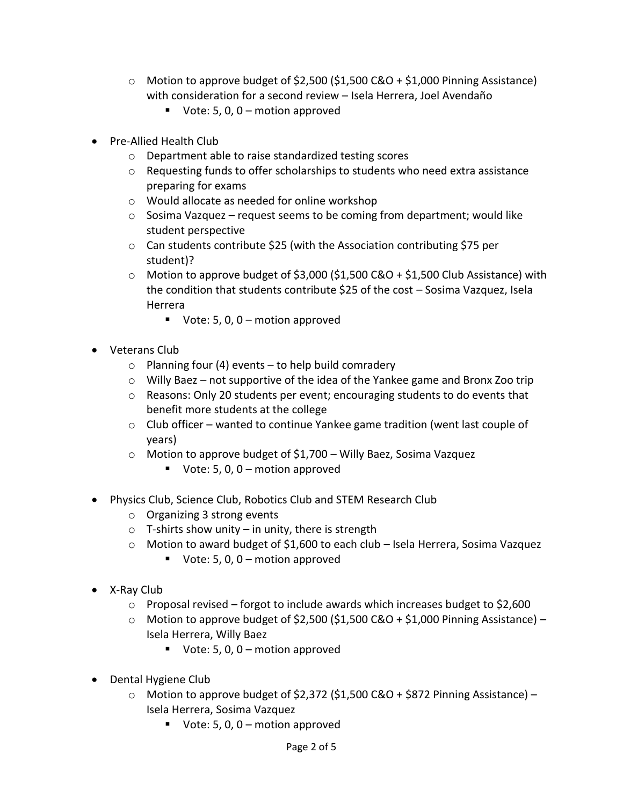- $\circ$  Motion to approve budget of \$2,500 (\$1,500 C&O + \$1,000 Pinning Assistance) with consideration for a second review – Isela Herrera, Joel Avendaño
	- Vote: 5, 0,  $0$  motion approved
- Pre-Allied Health Club
	- o Department able to raise standardized testing scores
	- $\circ$  Requesting funds to offer scholarships to students who need extra assistance preparing for exams
	- o Would allocate as needed for online workshop
	- o Sosima Vazquez request seems to be coming from department; would like student perspective
	- o Can students contribute \$25 (with the Association contributing \$75 per student)?
	- $\circ$  Motion to approve budget of \$3,000 (\$1,500 C&O + \$1,500 Club Assistance) with the condition that students contribute \$25 of the cost – Sosima Vazquez, Isela Herrera
		- Vote: 5, 0,  $0$  motion approved
- Veterans Club
	- $\circ$  Planning four (4) events to help build comradery
	- o Willy Baez not supportive of the idea of the Yankee game and Bronx Zoo trip
	- $\circ$  Reasons: Only 20 students per event; encouraging students to do events that benefit more students at the college
	- o Club officer wanted to continue Yankee game tradition (went last couple of years)
	- o Motion to approve budget of \$1,700 Willy Baez, Sosima Vazquez
		- Vote: 5, 0, 0 motion approved
- Physics Club, Science Club, Robotics Club and STEM Research Club
	- o Organizing 3 strong events
	- $\circ$  T-shirts show unity in unity, there is strength
	- o Motion to award budget of \$1,600 to each club Isela Herrera, Sosima Vazquez
		- Vote: 5, 0, 0 motion approved
- X-Ray Club
	- $\circ$  Proposal revised forgot to include awards which increases budget to \$2,600
	- $\circ$  Motion to approve budget of \$2,500 (\$1,500 C&O + \$1,000 Pinning Assistance) Isela Herrera, Willy Baez
		- Vote: 5, 0, 0 motion approved
- Dental Hygiene Club
	- $\circ$  Motion to approve budget of \$2,372 (\$1,500 C&O + \$872 Pinning Assistance) Isela Herrera, Sosima Vazquez
		- Vote: 5, 0,  $0$  motion approved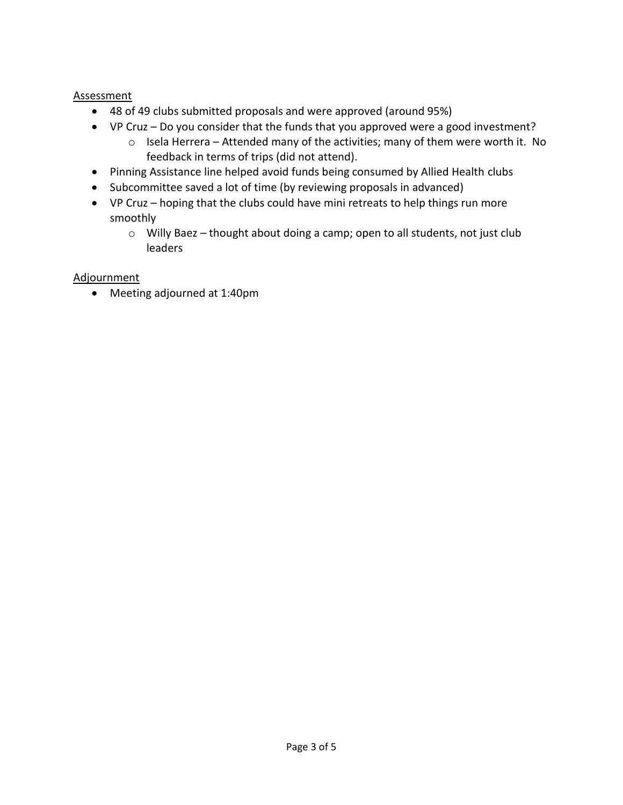#### **Assessment**

- 48 of 49 clubs submitted proposals and were approved (around 95%)
- VP Cruz Do you consider that the funds that you approved were a good investment?
	- o Isela Herrera Attended many of the activities; many of them were worth it. No feedback in terms of trips (did not attend).
- Pinning Assistance line helped avoid funds being consumed by Allied Health clubs
- Subcommittee saved a lot of time (by reviewing proposals in advanced)
- VP Cruz hoping that the clubs could have mini retreats to help things run more smoothly
	- o Willy Baez thought about doing a camp; open to all students, not just club leaders

#### Adjournment

Meeting adjourned at 1:40pm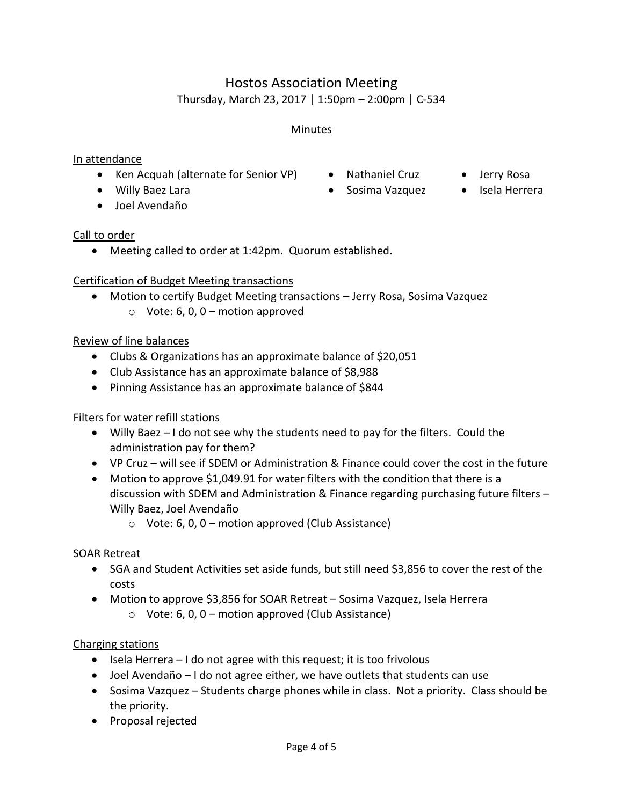# Hostos Association Meeting Thursday, March 23, 2017 | 1:50pm – 2:00pm | C-534

# Minutes

#### In attendance

- Ken Acquah (alternate for Senior VP) Nathaniel Cruz Jerry Rosa
- Willy Baez Lara Sosima Vazquez Isela Herrera
- Joel Avendaño

- 
- -

### Call to order

Meeting called to order at 1:42pm. Quorum established.

# Certification of Budget Meeting transactions

 Motion to certify Budget Meeting transactions – Jerry Rosa, Sosima Vazquez  $\circ$  Vote: 6, 0, 0 – motion approved

# Review of line balances

- Clubs & Organizations has an approximate balance of \$20,051
- Club Assistance has an approximate balance of \$8,988
- Pinning Assistance has an approximate balance of \$844

# Filters for water refill stations

- Willy Baez I do not see why the students need to pay for the filters. Could the administration pay for them?
- VP Cruz will see if SDEM or Administration & Finance could cover the cost in the future
- Motion to approve \$1,049.91 for water filters with the condition that there is a discussion with SDEM and Administration & Finance regarding purchasing future filters – Willy Baez, Joel Avendaño
	- $\circ$  Vote: 6, 0, 0 motion approved (Club Assistance)

# SOAR Retreat

- SGA and Student Activities set aside funds, but still need \$3,856 to cover the rest of the costs
- Motion to approve \$3,856 for SOAR Retreat Sosima Vazquez, Isela Herrera
	- $\circ$  Vote: 6, 0, 0 motion approved (Club Assistance)

# Charging stations

- $\bullet$  Isela Herrera I do not agree with this request; it is too frivolous
- Joel Avendaño I do not agree either, we have outlets that students can use
- Sosima Vazquez Students charge phones while in class. Not a priority. Class should be the priority.
- Proposal rejected